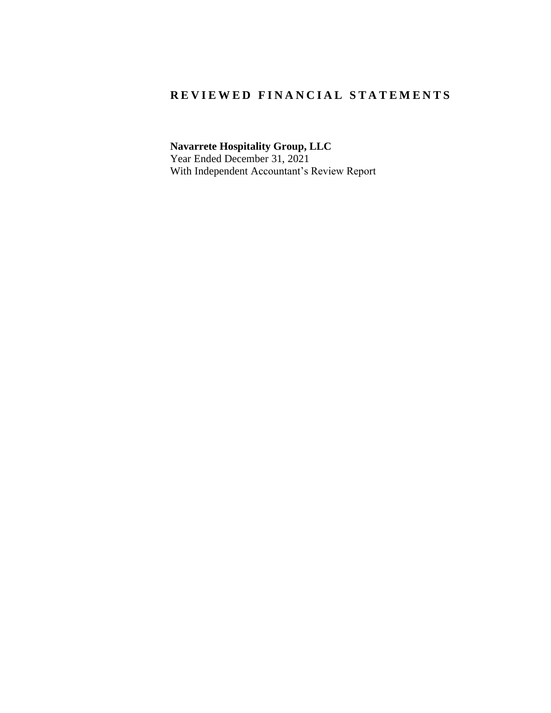### REVIEWED FINANCIAL STATEMENTS

**Navarrete Hospitality Group, LLC** Year Ended December 31, 2021 With Independent Accountant's Review Report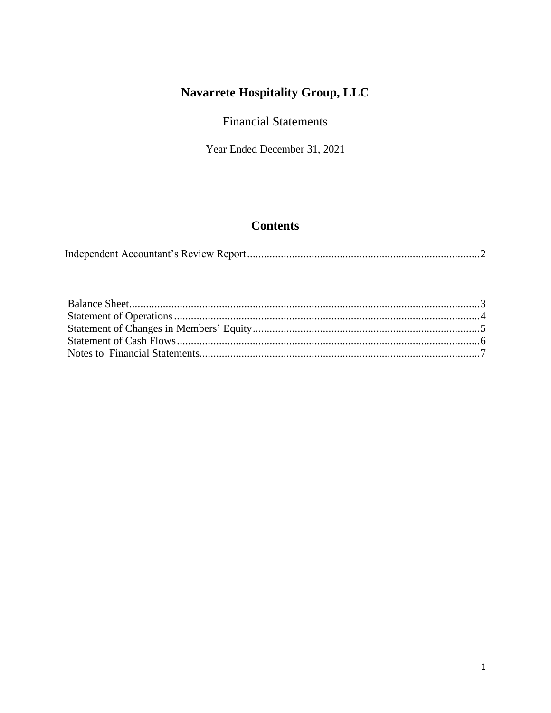## **Financial Statements**

Year Ended December 31, 2021

## **Contents**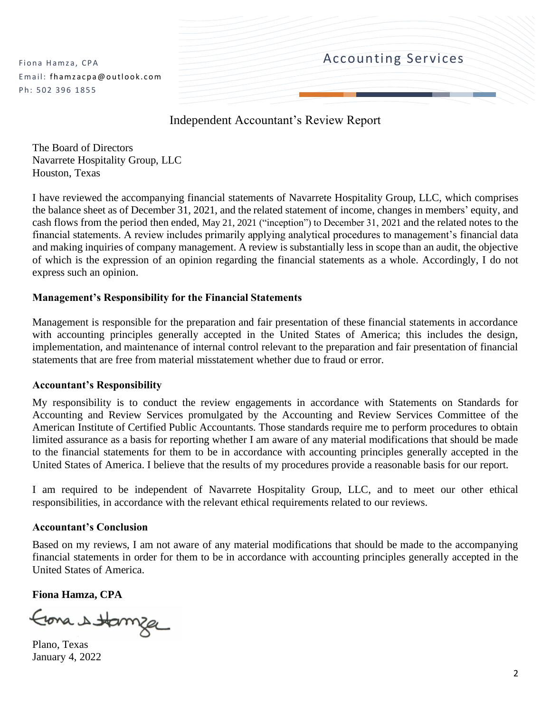Fiona Hamza, CPA Email: fhamzacpa@outlook.com Ph: 502 396 1855



### Independent Accountant's Review Report

<span id="page-2-0"></span>The Board of Directors Navarrete Hospitality Group, LLC Houston, Texas

I have reviewed the accompanying financial statements of Navarrete Hospitality Group, LLC, which comprises the balance sheet as of December 31, 2021, and the related statement of income, changes in members' equity, and cash flows from the period then ended, May 21, 2021 ("inception") to December 31, 2021 and the related notes to the financial statements. A review includes primarily applying analytical procedures to management's financial data and making inquiries of company management. A review is substantially less in scope than an audit, the objective of which is the expression of an opinion regarding the financial statements as a whole. Accordingly, I do not express such an opinion.

#### **Management's Responsibility for the Financial Statements**

Management is responsible for the preparation and fair presentation of these financial statements in accordance with accounting principles generally accepted in the United States of America; this includes the design, implementation, and maintenance of internal control relevant to the preparation and fair presentation of financial statements that are free from material misstatement whether due to fraud or error.

#### **Accountant's Responsibility**

My responsibility is to conduct the review engagements in accordance with Statements on Standards for Accounting and Review Services promulgated by the Accounting and Review Services Committee of the American Institute of Certified Public Accountants. Those standards require me to perform procedures to obtain limited assurance as a basis for reporting whether I am aware of any material modifications that should be made to the financial statements for them to be in accordance with accounting principles generally accepted in the United States of America. I believe that the results of my procedures provide a reasonable basis for our report.

I am required to be independent of Navarrete Hospitality Group, LLC, and to meet our other ethical responsibilities, in accordance with the relevant ethical requirements related to our reviews.

#### **Accountant's Conclusion**

Based on my reviews, I am not aware of any material modifications that should be made to the accompanying financial statements in order for them to be in accordance with accounting principles generally accepted in the United States of America.

**Fiona Hamza, CPA**

Erona & Hamze

Plano, Texas January 4, 2022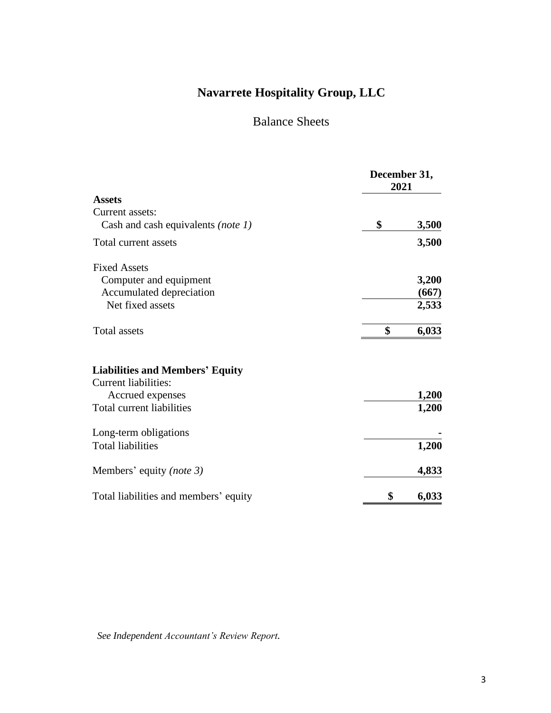## Balance Sheets

<span id="page-3-0"></span>

|                                                                       | December 31,<br>2021 |
|-----------------------------------------------------------------------|----------------------|
| <b>Assets</b>                                                         |                      |
| Current assets:                                                       |                      |
| Cash and cash equivalents (note 1)                                    | \$<br>3,500          |
| Total current assets                                                  | 3,500                |
| <b>Fixed Assets</b>                                                   |                      |
| Computer and equipment                                                | 3,200                |
| Accumulated depreciation                                              | (667)                |
| Net fixed assets                                                      | 2,533                |
| <b>Total assets</b>                                                   | \$<br>6,033          |
| <b>Liabilities and Members' Equity</b><br><b>Current liabilities:</b> |                      |
| Accrued expenses                                                      | 1,200                |
| Total current liabilities                                             | 1,200                |
| Long-term obligations                                                 |                      |
| <b>Total liabilities</b>                                              | 1,200                |
| Members' equity ( <i>note 3</i> )                                     | 4,833                |
| Total liabilities and members' equity                                 | \$<br>6,033          |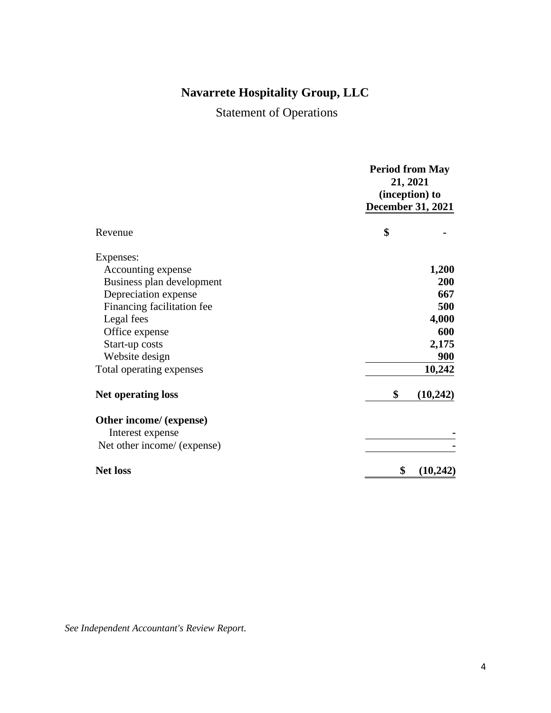Statement of Operations

<span id="page-4-0"></span>

|                             | <b>Period from May</b>   |
|-----------------------------|--------------------------|
|                             | 21, 2021                 |
|                             | (inception) to           |
|                             | <b>December 31, 2021</b> |
| Revenue                     | \$                       |
| Expenses:                   |                          |
| Accounting expense          | 1,200                    |
| Business plan development   | 200                      |
| Depreciation expense        | 667                      |
| Financing facilitation fee  | 500                      |
| Legal fees                  | 4,000                    |
| Office expense              | 600                      |
| Start-up costs              | 2,175                    |
| Website design              | <b>900</b>               |
| Total operating expenses    | 10,242                   |
| <b>Net operating loss</b>   | \$<br>(10, 242)          |
| Other income/ (expense)     |                          |
| Interest expense            |                          |
| Net other income/ (expense) |                          |
| <b>Net loss</b>             | \$<br>(10, 242)          |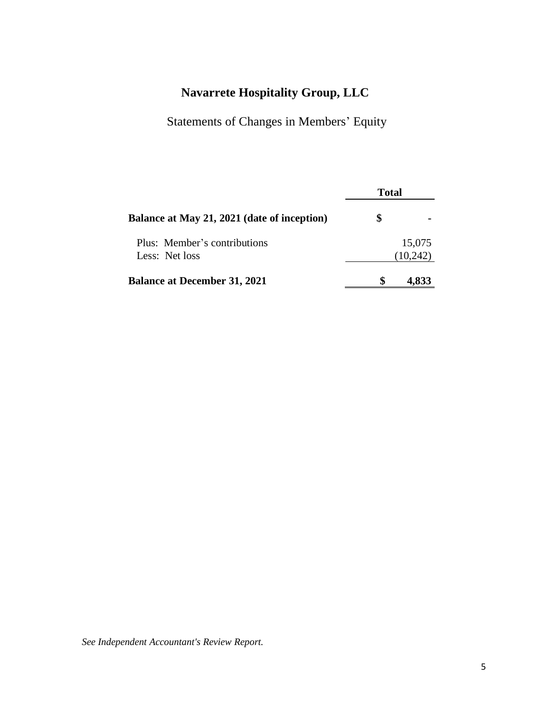Statements of Changes in Members' Equity

<span id="page-5-0"></span>

|                                             | <b>Total</b> |          |
|---------------------------------------------|--------------|----------|
| Balance at May 21, 2021 (date of inception) | S            |          |
| Plus: Member's contributions                |              | 15,075   |
| Less: Net loss                              |              | (10,242) |
| <b>Balance at December 31, 2021</b>         |              | 4,833    |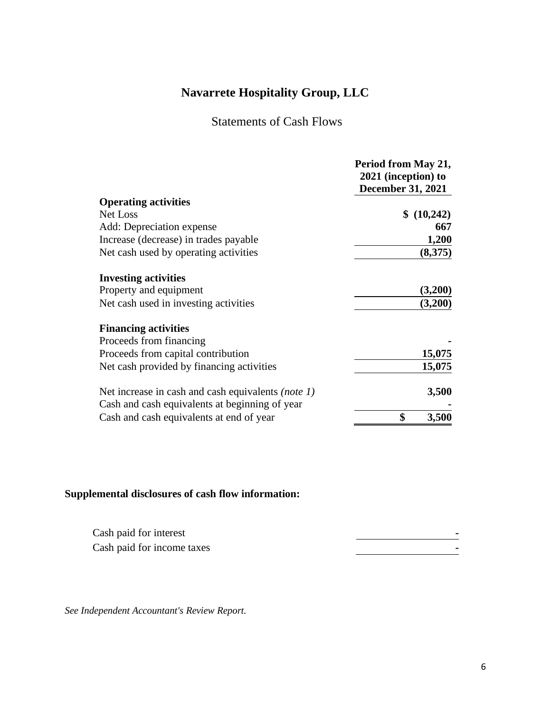## Statements of Cash Flows

<span id="page-6-0"></span>

|                                                           | Period from May 21,      |
|-----------------------------------------------------------|--------------------------|
|                                                           | 2021 (inception) to      |
|                                                           | <b>December 31, 2021</b> |
| <b>Operating activities</b>                               |                          |
| Net Loss                                                  | \$ (10,242)              |
| Add: Depreciation expense                                 | 667                      |
| Increase (decrease) in trades payable                     | 1,200                    |
| Net cash used by operating activities                     | (8,375)                  |
| <b>Investing activities</b>                               |                          |
| Property and equipment                                    | (3,200)                  |
| Net cash used in investing activities                     | (3,200)                  |
| <b>Financing activities</b>                               |                          |
| Proceeds from financing                                   |                          |
| Proceeds from capital contribution                        | 15,075                   |
| Net cash provided by financing activities                 | 15,075                   |
| Net increase in cash and cash equivalents <i>(note 1)</i> | 3,500                    |
| Cash and cash equivalents at beginning of year            |                          |
| Cash and cash equivalents at end of year                  | \$<br>3,500              |

#### **Supplemental disclosures of cash flow information:**

| Cash paid for interest     |  |
|----------------------------|--|
| Cash paid for income taxes |  |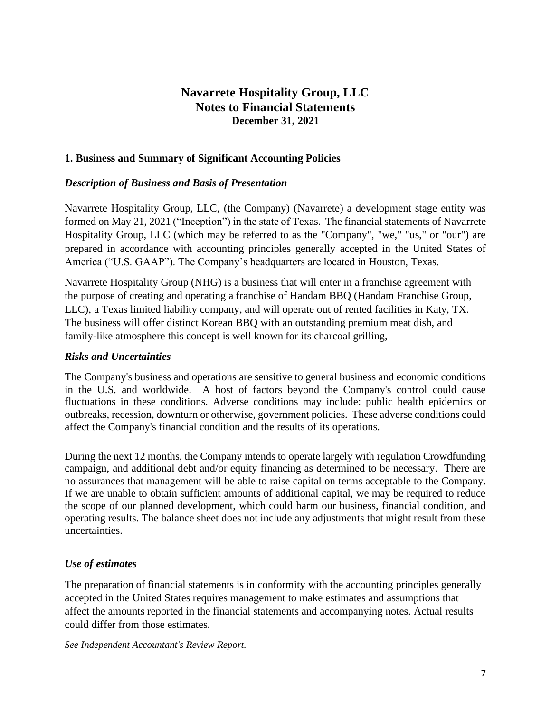### **Navarrete Hospitality Group, LLC Notes to Financial Statements December 31, 2021**

#### <span id="page-7-0"></span>**1. Business and Summary of Significant Accounting Policies**

#### *Description of Business and Basis of Presentation*

Navarrete Hospitality Group, LLC, (the Company) (Navarrete) a development stage entity was formed on May 21, 2021 ("Inception") in the state of Texas. The financial statements of Navarrete Hospitality Group, LLC (which may be referred to as the "Company", "we," "us," or "our") are prepared in accordance with accounting principles generally accepted in the United States of America ("U.S. GAAP"). The Company's headquarters are located in Houston, Texas.

Navarrete Hospitality Group (NHG) is a business that will enter in a franchise agreement with the purpose of creating and operating a franchise of Handam BBQ (Handam Franchise Group, LLC), a Texas limited liability company, and will operate out of rented facilities in Katy, TX. The business will offer distinct Korean BBQ with an outstanding premium meat dish, and family-like atmosphere this concept is well known for its charcoal grilling,

#### *Risks and Uncertainties*

The Company's business and operations are sensitive to general business and economic conditions in the U.S. and worldwide. A host of factors beyond the Company's control could cause fluctuations in these conditions. Adverse conditions may include: public health epidemics or outbreaks, recession, downturn or otherwise, government policies. These adverse conditions could affect the Company's financial condition and the results of its operations.

During the next 12 months, the Company intends to operate largely with regulation Crowdfunding campaign, and additional debt and/or equity financing as determined to be necessary. There are no assurances that management will be able to raise capital on terms acceptable to the Company. If we are unable to obtain sufficient amounts of additional capital, we may be required to reduce the scope of our planned development, which could harm our business, financial condition, and operating results. The balance sheet does not include any adjustments that might result from these uncertainties.

#### *Use of estimates*

The preparation of financial statements is in conformity with the accounting principles generally accepted in the United States requires management to make estimates and assumptions that affect the amounts reported in the financial statements and accompanying notes. Actual results could differ from those estimates.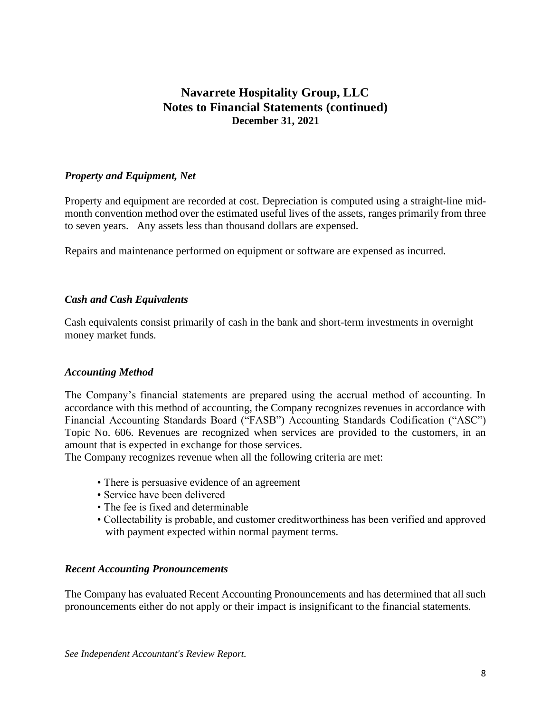### **Navarrete Hospitality Group, LLC Notes to Financial Statements (continued) December 31, 2021**

#### *Property and Equipment, Net*

Property and equipment are recorded at cost. Depreciation is computed using a straight-line midmonth convention method over the estimated useful lives of the assets, ranges primarily from three to seven years. Any assets less than thousand dollars are expensed.

Repairs and maintenance performed on equipment or software are expensed as incurred.

#### *Cash and Cash Equivalents*

Cash equivalents consist primarily of cash in the bank and short-term investments in overnight money market funds.

#### *Accounting Method*

The Company's financial statements are prepared using the accrual method of accounting. In accordance with this method of accounting, the Company recognizes revenues in accordance with Financial Accounting Standards Board ("FASB") Accounting Standards Codification ("ASC") Topic No. 606. Revenues are recognized when services are provided to the customers, in an amount that is expected in exchange for those services.

The Company recognizes revenue when all the following criteria are met:

- There is persuasive evidence of an agreement
- Service have been delivered
- The fee is fixed and determinable
- Collectability is probable, and customer creditworthiness has been verified and approved with payment expected within normal payment terms.

#### *Recent Accounting Pronouncements*

The Company has evaluated Recent Accounting Pronouncements and has determined that all such pronouncements either do not apply or their impact is insignificant to the financial statements.